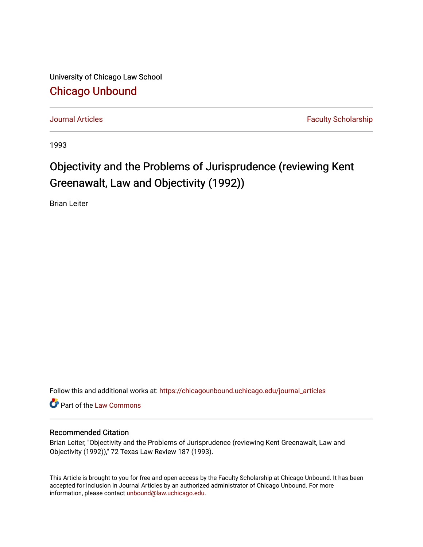University of Chicago Law School [Chicago Unbound](https://chicagounbound.uchicago.edu/)

[Journal Articles](https://chicagounbound.uchicago.edu/journal_articles) **Faculty Scholarship Journal Articles** 

1993

# Objectivity and the Problems of Jurisprudence (reviewing Kent Greenawalt, Law and Objectivity (1992))

Brian Leiter

Follow this and additional works at: [https://chicagounbound.uchicago.edu/journal\\_articles](https://chicagounbound.uchicago.edu/journal_articles?utm_source=chicagounbound.uchicago.edu%2Fjournal_articles%2F2754&utm_medium=PDF&utm_campaign=PDFCoverPages) 

Part of the [Law Commons](http://network.bepress.com/hgg/discipline/578?utm_source=chicagounbound.uchicago.edu%2Fjournal_articles%2F2754&utm_medium=PDF&utm_campaign=PDFCoverPages)

## Recommended Citation

Brian Leiter, "Objectivity and the Problems of Jurisprudence (reviewing Kent Greenawalt, Law and Objectivity (1992))," 72 Texas Law Review 187 (1993).

This Article is brought to you for free and open access by the Faculty Scholarship at Chicago Unbound. It has been accepted for inclusion in Journal Articles by an authorized administrator of Chicago Unbound. For more information, please contact [unbound@law.uchicago.edu](mailto:unbound@law.uchicago.edu).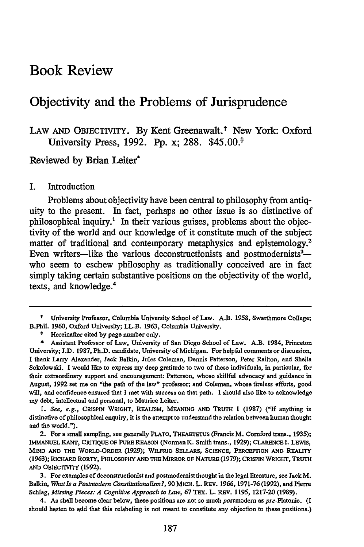# Book Review

## Objectivity and the Problems of Jurisprudence

## LAW AND OBJECTIVITY. By Kent Greenawalt.<sup>†</sup> New York: Oxford University Press, **1992. Pp.** x; **288.** \$45.00.\*

Reviewed by Brian Leiter

#### I. Introduction

Problems about objectivity have been central to philosophy from antiquity to the present. In fact, perhaps no other issue is so distinctive of philosophical inquiry.' In their various guises, problems about the objectivity of the world and our knowledge of it constitute much of the subject matter of traditional and contemporary metaphysics and epistemology.<sup>2</sup> Even writers—like the various deconstructionists and postmodernists<sup>3</sup> who seem to eschew philosophy as traditionally conceived are in fact simply taking certain substantive positions on the objectivity of the world, texts, and knowledge.4

*1. See, e.g.,* CRISPIN WRIGHT, REALISM, **MEANING AND TRUTH 1 (1987) ("If** anything is distinctive of philosophical enquiry, it is the attempt to understand the relation between human thought and the world.").

**t** University Professor, Columbia University School of Law. A.B. **1958,** Swarthmore College; B.Phil. **1960,** Oxford University; LL.B. **1963,** Columbia University.

Hereinafter cited **by** page number only.

**<sup>\*</sup>** Assistant Professor of Law, University of San Diego School of Law. A.B. 1984, Princeton University; **J.D. 1987,** Ph.D. candidate, University of Michigan. For helpful comments or discussion, I thank Larry Alexander, Jack Balkin, Jules Coleman, Dennis Patterson, Peter Railton, and Sheila Sokolowski. I would like to express my deep gratitude to two of these individuals, in particular, for their extraordinary support and encouragement: Patterson, whose skillful advocacy and guidance in August, 1992 set me on "the path of the law" professor; and Coleman, whose tireless efforts, good will, and confidence ensured that I met with success on that path. **I** should also like to acknowledge my debt, intellectual and personal, to Maurice Leiter.

<sup>2.</sup> For a small sampling, see generally PLATO, **THEAETETUS** (Francis M. Cornford trans., **1935); IMMANUEL KANT,** CRITIQUE **OF PURE REASON** (Norman K. Smith trans., **1929); CLARENCE I.** LEWIs, **MIND AND THE** WoRLD-ORDER **(1929); WILFRID SELLARS, SCIENCE, PERCEPTION AND REALITY (1963);** RICHARD RORTY, PHILOSOPHY **AND** THEMIRROR **OF** NATURE **(1979); CRISPIN WRIGHT, TRUTH AND OBJECTIvITY (1992).**

<sup>3.</sup> For examples of deconstructionist and postmodernist thought in the legal literature, see Jack M. Balkin, *Whatls a Postmnodern Constitutionalisrm?,* **90** MICH. L. REv. **1966, 1971-76 (1992),** and Pierre Schlag, *Missing Pieces: A Cognitive Approach to Law,* **67** TEX. L. REv. **1195, 1217-20 (1989).**

<sup>4.</sup> As shall become clear below, these positions are not so much postmodern as pre-Platonic. (I should hasten to add that this relabeling is not meant to constitute any objection to these positions.)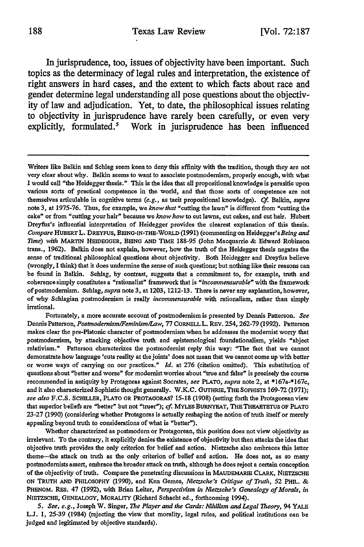In jurisprudence, too, issues of objectivity have been important. Such topics as the determinacy of legal rules and interpretation, the existence of right answers in hard cases, and the extent to which facts about race and gender determine legal understanding all pose questions about the objectivity of law and adjudication. Yet, to date, the philosophical issues relating to objectivity in jurisprudence have rarely been carefully, or even very explicitly, formulated.<sup>5</sup> Work in jurisprudence has been influenced

Writers like Balkin and Schlag seem keen to deny this affinity with the tradition, though they are not very clear about why. Balkin seems to want to associate postmodemism, properly enough, with what I would call "the Heidegger thesis." This is the idea that all propositional knowledge is parasitic upon various sorts of practical competence in the world, and that those sorts of competence are not themselves articulable in cognitive terms *(e.g.,* as tacit propositional knowledge). **Cf.** Balkin, *supra* **note 3,** at **1975-76.** Thus, for example, we *know* that "cutting the lawn" is different from "cutting the cake" or from "cutting your hair" because we *know how* to cut lawns, cut cakes, and cut hair. Hubert Dreyfus's influential interpretation of Heidegger provides the clearest explanation of this thesis. *Compare* **HUBER.T** L. DREYFUS, BEING-IN-THE-WORLD **(1991)** (commenting on Heidegger's *Being and Time) with* MARTIN **HEIDEGGER, BEING AND** TIME **188-95** (John Macquarrie **&** Edward Robinson trans., **1962).** Balkin does not explain, however, how the truth of the Heidegger thesis negates the sense of traditional philosophical questions about objectivity. Both Heidegger and Dreyfus believe (wrongly, **I** think) that it does undermine the sense of such questions; but nothing like their reasons can be found in Balkin. Schlag, **by** contrast, suggests that a commitment to, for example, truth and coherence simply constitutes a "rationalist" framework that is *"incommensurable"* with the framework of postmodernism. Schlag, *supra* note **3,** at **1203, 1212-13.** There is never any explanation, however, of why Schlagian postmodernism is really *incommensurable* with rationalism, rather than simply irrational.

Fortunately, a more accurate account of postmodernism is presented **by** Dennis Patterson. *See* Dennis Patterson, *Postmodernism/Feminism/Law,* **77** CORNELLL. REV. **254,262-79 (1992).** Patterson makes clear the pre-Platonic character of postmodernism when he addresses the modernist worry that postmodernism, **by** attacking objective truth and epistemological foundationalism, yields "abject relativism." Patterson characterizes the postmodernist reply this way: "The fact that we cannot demonstrate how language **'cuts** reality at the joints' does not mean that we cannot come up with better or worse ways of carrying on our practices." *Id.* at **276** (citation omitted). This substitution of questions about "better and worse' for modernist worries about "true and false" is precisely the course recommended in antiquity **by** Protagoras against Socrates, *see* PLATO, *supra* note 2, at **\*167a-'\*167c,** and it also characterized Sophistic thought generally. W.K.C. GUTHRIE, THE SOPHISTS **169-72 (1971);** *see also* **F.C.S.** SCHILLER, PLATO OR PROTAGORAS? **15-18 (1908)** (setting forth the Protagorean view that superior beliefs are "better" but not "truer"); *cf.* MYLES BURNYEAT, THE THEAETETUS OF PLATO **23-27 (1990)** (considering whether Protagoras is actually reshaping the notion of truth itself or merely appealing beyond truth to considerations of what is "better").

Whether characterized as postmodem or Protagorean, this position does not view objectivity as irrelevant. To the contrary, it explicitly denies the existence of objectivity but then attacks the idea that objective truth provides the only criterion for belief and action. Nietzsche also embraces this latter theme-the attack on truth as the only criterion of belief and action. He does not, as so many postmodernists assert, embrace the broader attack on truth, although he does reject a certain conception of the objectivity of truth. Compare the penetrating discussions in MAUDEmARIE CLARK, **NIETZSCHE ON** TRUTH **AND** PHILOSOPHY **(1990),** and Ken Gemes, *Nietzsche's Critique of Truth,* **52** PHIL. **&** PHENOM. REs. 47 **(1992),** with Brian Leiter, *Perspectivism in Nietzsche's Genealogy of Morals, in* **NIETZSCHE, GENEALOGY,** MORALITY (Richard Schacht ed., forthcoming 1994).

*<sup>5.</sup> See, e.g.,* Joseph W. Singer, *The Player and the Cards: Nihilism and Legal Theory,* 94 YALE **L.J. 1, 25-39** (1984) (rejecting the view that morality, legal rules, and political institutions can be judged and legitimated **by** objective standards).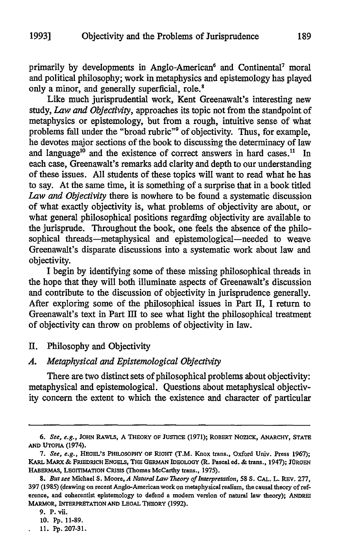primarily by developments in Anglo-American<sup>6</sup> and Continental<sup>7</sup> moral and political philosophy; work in metaphysics and epistemology has played only a minor, and generally superficial, role.'

Like much jurisprudential work, Kent Greenawalt's interesting new study, *Law and Objectivity,* approaches its topic not from the standpoint of metaphysics or epistemology, but from a rough, intuitive sense of what problems fall under the "broad rubric"<sup>9</sup> of objectivity. Thus, for example, he devotes major sections of the book to discussing the determinacy of law and language<sup>10</sup> and the existence of correct answers in hard cases.<sup>11</sup> In each case, Greenawalt's remarks add clarity and depth to our understanding of these issues. All students of these topics will want to read what he has to say. At the same time, it is something of a surprise that in a book titled *Law and Objectivity* there is nowhere to be found a systematic discussion of what exactly objectivity is, what problems of objectivity are about, or what general philosophical positions regarding objectivity are available to the jurisprude. Throughout the book, one feels the absence of the philosophical threads-metaphysical and epistemological-needed to weave Greenawalt's disparate discussions into a systematic work about law and objectivity.

I begin by identifying some of these missing philosophical threads in the hope that they will both illuminate aspects of Greenawalt's discussion and contribute to the discussion of objectivity in jurisprudence generally. After exploring some of the philosophical issues in Part II, I return to Greenawalt's text in Part III to see what light the philosophical treatment of objectivity can throw on problems of objectivity in law.

II. Philosophy and Objectivity

#### *A. Metaphysical and Epistemological Objectivity*

There are two distinct sets of philosophical problems about objectivity: metaphysical and epistemological. Questions about metaphysical objectivity concern the extent to which the existence and character of particular

**<sup>6.</sup> See,** e.g., **JOHN RAWLs, A THEORY OF JUSTICE (1971);** ROBERT NOZICK, ANARCHY, **STATE AND UTOPIA** (1974).

*<sup>7.</sup>* **See, e.g., HEGEL'S PHILOSOPHY OF RIGHT** (T.M. Knox trans., Oxford Univ. Press **1967); KARL** MARX **& FRIEDRICH ENGELS, THE GERMAN IDEOLOGY (R. Pascal ed. &** trans., 1947); **JURGEN HABERMAS, LEGITIMATION CRisIs (Thomas McCarthy trans., 1975).**

*<sup>8.</sup>* But **see** Michael **S.** Moore, *A Natural Law Theory ofInterpretation, 58* **S. CAL.** L. REv. **277, 397** (1985) (drawing on recent Anglo-Americanwork on metaphysical realism, the causal theory of reference, and coherentist epistemology to defend a modem version of natural law theory); ANDREI MARMOR, INTERPRETATION **AND LEGAL THEORY (1992).**

**<sup>9.</sup> P.** vii.

**<sup>10.</sup> Pp. 11-89.**

**<sup>11.</sup> Pp.** 207-31.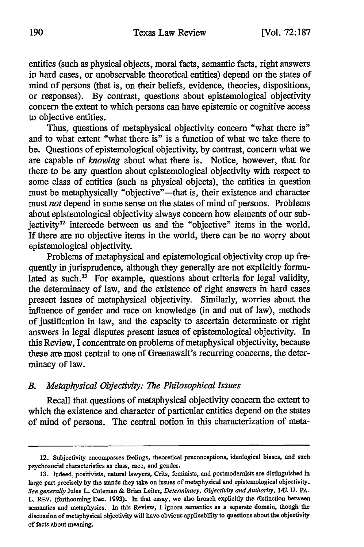entities (such as physical objects, moral facts, semantic facts, right answers in hard cases, or unobservable theoretical entities) depend on the states of mind of persons (that is, on their beliefs, evidence, theories, dispositions, or responses). By contrast, questions about epistemological objectivity concern the extent to which persons can have epistemic or cognitive access to objective entities.

Thus, questions of metaphysical objectivity concern "what there is" and to what extent "what there is" is a function of what we take there to be. Questions of epistemological objectivity, by contrast, concern what we are capable of *knowing* about what there is. Notice, however, that for there to be any question about epistemological objectivity with respect to some class of entities (such as physical objects), the entities in question must be metaphysically "objective"—that is, their existence and character must *not* depend in some sense on the states of mind of persons. Problems about epistemological objectivity always concern how elements of our subjectivity<sup>12</sup> intercede between us and the "objective" items in the world. If there are no objective items in the world, there can be no worry about epistemological objectivity.

Problems of metaphysical and epistemological objectivity crop up frequently in jurisprudence, although they generally are not explicitly formulated as such. $13$  For example, questions about criteria for legal validity, the determinacy of law, and the existence of right answers in hard cases present issues of metaphysical objectivity. Similarly, worries about the influence of gender and race on knowledge (in and out of law), methods of justification in law, and the capacity to ascertain determinate or right answers in legal disputes present issues of epistemological objectivity. In this Review, I concentrate on problems of metaphysical objectivity, because these are most central to one of Greenawalt's recurring concerns, the determinacy of law.

## *B. Metaphysical Objectivity: The Philosophical Issues*

Recall that questions of metaphysical objectivity concern the extent to which the existence and character of particular entities depend on the states of mind of persons. The central notion in this characterization of meta-

<sup>12.</sup> Subjectivity encompasses feelings, theoretical preconceptions, ideological biases, and such psychosocial characteristics as class, race, and gender.

**<sup>13.</sup>** Indeed, positivists, natural lawyers, Crits, feminists, and postmodernists are distinguished in large part precisely **by** the stands they take on issues of metaphysical and epistemological objectivity. *See generally* Jules L. Coleman **&** Brian Leiter, *Determinacy, Objectivity and Authority,* 142 **U.** PA. L. REV. (forthcoming Dec. 1993). In that essay, we also broach explicitly the distinction between semantics and metaphysics. In this Review, I ignore semantics as a separate domain, though the discussion of metaphysical objectivity will have obvious applicability to questions about the objectivity of facts about meaning.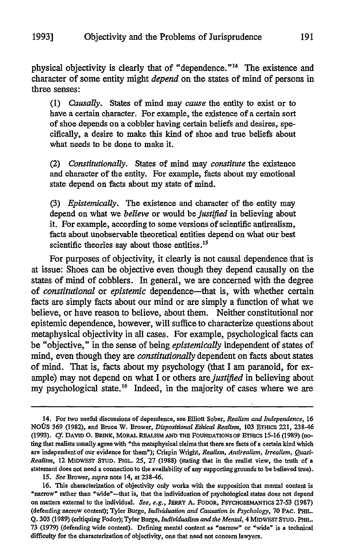physical objectivity is clearly that of "dependence."14 The existence and character of some entity might *depend* on the states of mind of persons in three senses:

(1) *Causally.* States of mind may *cause* the entity to exist or to have a certain character. For example, the existence of a certain sort of shoe depends on a cobbler having certain beliefs and desires, specifically, a desire to make this kind of shoe and true beliefs about what needs to be done to make it.

(2) *Constitutionally.* States of mind may *constitute* the existence and character of the entity. For example, facts about my emotional state depend on facts about my state of mind.

(3) *Epistemically.* The existence and character of the entity may depend on what we *believe* or would *be justified* in believing about it. For example, according to some versions of scientific antirealism, facts about unobservable theoretical entities depend on what our best scientific theories say about those entities.<sup>15</sup>

For purposes of objectivity, it clearly is not causal dependence that is at issue: Shoes can be objective even though they depend causally on the states of mind of cobblers. In general, we are concerned with the degree of *constitutional* or *epistemic* dependence-that is, with whether certain facts are simply facts about our mind or are simply a function of what we believe, or have reason to believe, about them. Neither constitutional nor epistemic dependence, however, will suffice to characterize questions about metaphysical objectivity in all cases. For example, psychological facts can be "objective," in the sense of being *epistemically* independent of states of mind, even though they are *constitutionally* dependent on facts about states of mind. That is, facts about my psychology (that I am paranoid, for example) may not depend on what I or others are *justified* in believing about my psychological state.<sup>16</sup> Indeed, in the majority of cases where we are

<sup>14.</sup> For two useful discussions of dependence, see Elliott Sober, *Realism and Independence,* 16 *NO0S* **369** (1982), and Bruce W. Brower, *Dispositional Ethical Realism,* **103** ETHICS 221, 238-46 **(1993).** *Cf.* **DAVID 0.** BRINK, MORAL **REALISM AND THE FOUNDATIONS OF ETHICS 15-16** (1989) (noting that realists usually agree with "the metaphysical claims that there are facts of a certain kind which are independent of our evidence for them"); Crispin Wright, *Realism, Antirealism, Irrealism, Quasi-Realism,* 12 MIDwEST **STUD.** PHIL. 25, **27** (1988) (stating that in the realist view, the truth of a statement does not need a connection to the availability of any supportinggrounds to be believed true).

<sup>15.</sup> *See* Brower, *supra* note 14, at 238-46.

<sup>16.</sup> This characterization of objectivity only works with the supposition that mental content is "narrow" rather than "wide"-that is, that the individuation of psychological states does not depend on matters external to the individual. *See, e.g.,* JERRY **A.** FODOR, PSYCHOSEMANTICS 27-53 (1987) (defending narrow content); Tyler Burge, *Individuation and Causation in Psychology,* 70 **PAC.** PHIL. Q. **303** (1989) (critiquing Fodor); Tyler Burge, *Individualism and the Mental,* 4 **MIDWEST STUD.** PHIL. **73** (1979) (defending wide content). Defining mental content as "narrow" or "wide" is a technical difficulty for the characterization of objectivity, one that need not concern lawyers.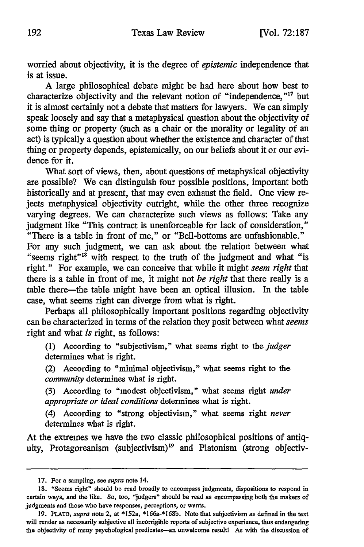worried about objectivity, it is the degree of *epistemic* independence that is at issue.

A large philosophical debate might be had here about how best to characterize objectivity and the relevant notion of "independence," $17$  but it is almost certainly not a debate that matters for lawyers. We can simply speak loosely and say that a metaphysical question about the objectivity of some thing or property (such as a chair or the morality or legality of an act) is typically a question about whether the existence and character of that thing or property depends, epistemically, on our beliefs about it or our evidence for it.

What sort of views, then, about questions of metaphysical objectivity are possible? We can distinguish four possible positions, important both historically and at present, that may even exhaust the field. One view rejects metaphysical objectivity outright, while the other three recognize varying degrees. We can characterize such views as follows: Take any judgment like "This contract is unenforceable for lack of consideration," "There is a table in front of me," or "Bell-bottoms are unfashionable."

For any such judgment, we can ask about the relation between what "seems right" $18$  with respect to the truth of the judgment and what "is right." For example, we can conceive that while it might *seem right* that there is a table in front of me, it might not *be right* that there really is a table there-the table might have been an optical illusion. In the table case, what seems right can diverge from what is right.

Perhaps all philosophically important positions regarding objectivity can be characterized in terms of the relation they posit between what *seems* right and what *is* right, as follows:

(1) According to "subjectivism," what seems right to the *judger* determines what is right.

(2) According to "minimal objectivism," what seems right to the *community* determines what is right.

(3) According to "modest objectivism," what seems right *under appropriate or ideal conditions* determines what is right.

(4) According to "strong objectivism," what seems right *never* determines what is right.

At the extremes we have the two classic philosophical positions of antiquity, Protagoreanism (subjectivism)<sup>19</sup> and Platonism (strong objectiv-

**<sup>17.</sup>** For a sampling, see *supra* note 14.

**<sup>18. &</sup>quot;Seems right" should be read broadly to encompass judgments, dispositions to respond in certain ways, and the like. So, too, "judgers" should be read as encompassing both the makers of judgments and those who have responses, perceptions, or wants.**

**<sup>19.</sup> PLATO,** *supra* **note 2, at** \*152a, **\*166a-\*168b. Note that subjectivism as defined in the text will render as necessarily subjective all incorrigible reports of subjective experience, thus endangering the objectivity of many psychological predicates-an unwelcome result! As with the discussion of**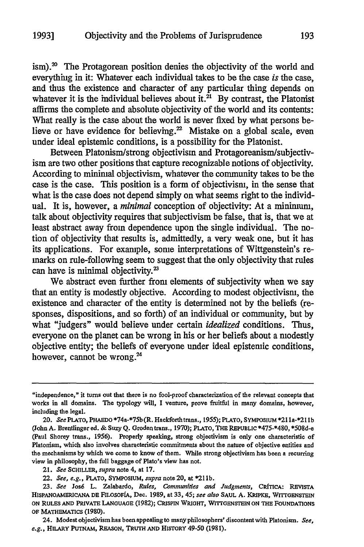$\sinh^2$ . The Protagorean position denies the objectivity of the world and everything in it: Whatever each individual takes to be the case *is* the case, and thus the existence and character of any particular thing depends on whatever it is the individual believes about it.<sup>21</sup> By contrast, the Platonist affirms the complete and absolute objectivity of the world and its contents: What really is the case about the world is never fixed by what persons believe or have evidence for believing.<sup>22</sup> Mistake on a global scale, even under ideal epistemic conditions, is a possibility for the Platonist.

Between Platonism/strong objectivism and Protagoreanism/subjectivism are two other positions that capture recognizable notions of objectivity. According to minimal objectivism, whatever the community takes to be the case is the case. This position is a form of objectivism, in the sense that what is the case does not depend simply on what seems right to the individual. It is, however, a *minimal* conception of objectivity: At a minimum, talk about objectivity requires that subjectivism be false, that is, that we at least abstract away from dependence upon the single individual. The notion of objectivity that results is, admittedly, a very weak one, but it has its applications. For example, some interpretations of Wittgenstein's remarks on rule-following seem to suggest that the only objectivity that rules can have is minimal objectivity.<sup>23</sup>

We abstract even further from elements of subjectivity when we say that an entity is modestly objective. According to modest objectivism, the existence and character of the entity is determined not by the beliefs (responses, dispositions, and so forth) of an individual or community, but by what "judgers" would believe under certain *idealized* conditions. Thus, everyone on the planet can be wrong in his or her beliefs about a modestly objective entity; the beliefs of everyone under ideal epistemic conditions, however, cannot be wrong.<sup>24</sup>

<sup>&</sup>quot;independence," it turns out that there is no fool-proof characterization of the relevant concepts that works in all domains. The typology will, I venture, prove fruitful in many domains, however, including the legal.

<sup>20.</sup> *See* **PLATO,** PHAEDO \*74a-\*75b(R. Hackforthtrans., **1955);** PLATO, **SYMPOSIUM** \*21 la-\*21 **lb** (John A. Brentlinger ed. **&** Suzy **Q.** Groden trans., **1970);** PLATO, THE **REPUBLIC** \*475-\*480, \*508d-e (Paul Shorey trans., 1956). Properly speaking, strong objectivism is only one characteristic of Platonism, which also involves characteristic commitments about the nature of objective entities and the mechanisms **by** which we come to know of them. While strong objectivism has been a recurring view in philosophy, the full baggage of Plato's view has not.

<sup>21.</sup> *See* SCHILLER, *supra* note 4, at **17.**

<sup>22.</sup> *See, e.g.,* PLATO, **SYMPOSIUM,** *supra* note 20, at \*21 **lb.**

*<sup>23.</sup> See* Jos6 L. Zalabardo, *Rules, Communities and Judgments,* **CRdTicA: REViSTA HISPANOAMERICANA Dr** FILOsOFIA, Dec. 1989, at **33,** 45; *see also* **SAUL** A. KRIPKE, **WrrrENsrEIN ON RULES AND** PRIVATE **LANGUAGE** (1982); **CRISPIN** WRIGHT, **WITTGaENSTEIN ON THE FOUNDATIONS OF MATHEMATICS** (1980).

<sup>24.</sup> Modest objectivism has been appealing to many philosophers' discontent with Platonism. *See, e.g.,* **HILARY PUTNAM,** REASON, **TRUTH AND HISTORY** 49-50 (1981).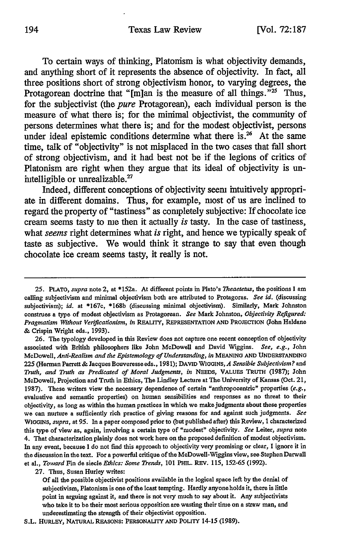To certain ways of thinking, Platonism is what objectivity demands, and anything short of it represents the absence of objectivity. In fact, all three positions short of strong objectivism honor, to varying degrees, the Protagorean doctrine that "[m]an is the measure of all things."<sup>25</sup> Thus, for the subjectivist (the *pure* Protagorean), each individual person is the measure of what there is; for the minimal objectivist, the community of persons determines what there is; and for the modest objectivist, persons under ideal epistemic conditions determine what there is.<sup>26</sup> At the same time, talk of "objectivity" is not misplaced in the two cases that fall short of strong objectivism, and it had best not be if the legions of critics of Platonism are right when they argue that its ideal of objectivity is unintelligible or unrealizable.<sup>27</sup>

Indeed, different conceptions of objectivity seem intuitively appropriate in different domains. Thus, for example, most of us are inclined to regard the property of "tastiness" as completely subjective: If chocolate ice cream seems tasty to me then it actually *is* tasty. In the case of tastiness, what *seems* right determines what *is* right, and hence we typically speak of taste as subjective. We would think it strange to say that even though chocolate ice cream seems tasty, it really is not.

**26.** The typology developed in this Review does not capture one recent conception of objectivity associated with British philosophers like John McDowell and David Wiggins. *See, e.g.,* John McDowell, *Anti-Realism and the Epistemology of Understanding, in* MEANING **AND** UNDERSTANDING *225* (Herman Parrett & Jacques Bouveresse eds., 1981); **DAVID** WIGGINS, *A Sensible Subjectivism?* and *Truth, and Truth as Predicated of Moral Judgments, in* **NEEDS,** VALUES **TRUTH (1987);** John McDowell, Projection and Truth in Ethics, The Lindley Lecture at The University of Kansas (Oct. 21, 1987). These writers view the necessary dependence of certain "anthropocentric" properties *(e.g.,* evaluative and semantic properties) on human sensibilities and responses as no threat to their objectivity, as long as within the human practices in which we make judgments about these properties we can nurture a sufficiently rich practice of giving reasons for and against such judgments. *See* **WIGGINS,** *supra,* at 95. In a paper composed prior to (but published after) this Review, I characterized this type of view as, again, involving a certain type of "modest" objectivity. *See* Leiter, *supra* note 4. That characterization plainly does not work here on the proposed definition of modest objectivism. In any event, because I do not find this approach to objectivity very promising or clear, I ignore it in the discussion in the text. For a powerful critique of the McDowell-Wiggins view, see Stephen Darwall et al., *Toward* Fin de siecle *Ethics: Some Trends,* 101 PHIL. REV. 115, 152-65 (1992).

**27.** Thus, Susan Hurley writes:

S.L. HURLEY, NATURAL **REASONS:** PERSONALITY **AND** POLITY 14-15 (1989).

**<sup>25.</sup> PLATO,** *supra* note 2, at \*152a. At different points in Plato's *Theaetetus,* the positions I am calling subjectivism and minimal objectivism both are attributed to Protagoras. *See id.* (discussing subjectivism); *id.* at \*167c, \*168b (discussing minimal objectivism). Similarly, Mark Johnston construes a type of modest objectivism as Protagorean. *See* Mark Johnston, *Objectivity Refigured: Pragmatism Without Verificationism, in* REALITY, **REPRESENTATION AND** PROJECTION (John Haldane & Crispin Wright eds., 1993).

Of all the possible objectivist positions available in the logical space left by the denial of subjectivism, Platonism is one of the least tempting. Hardly anyoneholds it, there is little point in arguing against it, and there is not very much to say about it. Any subjectivists who take it to be their most serious opposition are wasting their time on a straw man, and underestimating the strength of their objectivist opposition.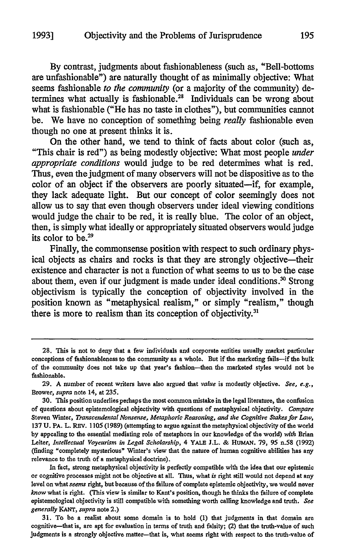**By** contrast, judgments about fashionableness (such as, "Bell-bottoms are unfashionable") are naturally thought of as minimally objective: What seems fashionable *to the community* (or a majority of the community) determines what actually is fashionable.<sup>28</sup> Individuals can be wrong about what is fashionable ("He has no taste in clothes"), but communities cannot be. We have no conception of something being *really* fashionable even though no one at present thinks it is.

On the other hand, we tend to think of facts about color (such as, "This chair is red") as being modestly objective: What most people *under appropriate conditions* would judge to be red determines what is red. Thus, even the judgment of many observers will not be dispositive as to the color of an object if the observers are poorly situated-if, for example, they lack adequate light. But our concept of color seemingly does not allow us to say that even though observers under ideal viewing conditions would judge the chair to be red, it is really blue. The color of an object, then, is simply what ideally or appropriately situated observers would judge its color to **be.29**

Finally, the commonsense position with respect to such ordinary physical objects as chairs and rocks is that they are strongly objective-their existence and character is not a function of what seems to us to be the case about them, even if our judgment is made under ideal conditions.<sup>30</sup> Strong objectivism is typically the conception of objectivity involved in the position known as "metaphysical realism," or simply "realism," though there is more to realism than its conception of objectivity.<sup>31</sup>

In fact, strong metaphysical objectivity is perfectly compatible with the idea that our epistemic or cognitive processes might not be objective at all. Thus, what *is* right still would not depend at any level on what *seems* right, but because of the failure of complete epistemic objectivity, we would never *know* what is right. (This view is similar to Kant's position, though he thinks the failure of complete epistemological objectivity is still compatible with something worth calling knowledge and truth. *See generally KANT, supra* note 2.)

31. To be a realist about some domain is to hold **(1)** that judgments in that domain are cognitive-that is, are apt for evaluation in terms of truth and falsity; (2) that the truth-value of such judgments is a strongly objective matter--that is, what seems right with respect to the truth-value of

<sup>28.</sup> This is not to deny that a few individuals and corporate entities usually market particular conceptions of fashionableness to the community as a whole. But if the marketing fails-if the bulk of the community does not take up that year's fashion-then the marketed styles would not be fashionable.

**<sup>29.</sup> A** number of recent writers have also argued that *value* is modestly objective. *See, e.g.,* Brower, *supra* note 14, at **235.**

**<sup>30.</sup>** This position underlies perhaps the most common mistake in the legal literature, the confusion of questions about epistemological objectivity with questions of metaphysical objectivity. *Compare* Steven Winter, *Transcendental Nonsense, Metaphoric Reasoning, and the Cognitive Stakes for Law,* **137** U. PA. L. REv. 1105 (1989) (attempting to argue against the metaphysical objectivity of the world **by** appealing to the essential mediating role of metaphors in our knowledge of the world) *with* Brian Leiter, *Intellectual Voyeurism in Legal Scholarship,* 4 YALE J.L. **&** HUMAN. 79, 95 n.58 (1992) (finding "completely mysterious" Winter's view that the nature of human cognitive abilities has any relevance to the truth of a metaphysical doctrine).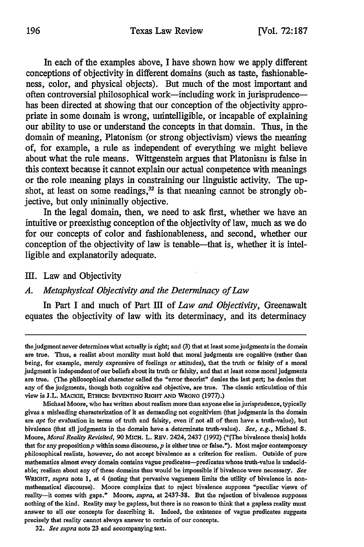In each of the examples above, I have shown how we apply different conceptions of objectivity in different domains (such as taste, fashionableness, color, and physical objects). But much of the most important and often controversial philosophical work-including work in jurisprudencehas been directed at showing that our conception of the objectivity appropriate in some domain is wrong, unintelligible, or incapable of explaining our ability to use or understand the concepts in that domain. Thus, in the domain of meaning, Platonism (or strong objectivism) views the meaning of, for example, a rule as independent of everything we might believe about what the rule means. Wittgenstein argues that Platonism is false in this context because it cannot explain our actual competence with meanings or the role meaning plays in constraining our linguistic activity. The upshot, at least on some readings, $32$  is that meaning cannot be strongly objective, but only minimally objective.

In the legal domain, then, we need to ask first, whether we have an intuitive or preexisting conception of the objectivity of law, much as we do for our concepts of color and fashionableness, and second, whether our conception of the objectivity of law is tenable-that is, whether it is intelligible and explanatorily adequate.

## **I1.** Law and Objectivity

### *A. Metaphysical Objectivity and the Determinacy of Law*

In Part I and much of Part III of *Law and Objectivity,* Greenawalt equates the objectivity of law with its determinacy, and its determinacy

the judgment never determines what actually is right; and **(3)** that at least some judgments in the domain are true. Thus, a realist about morality must hold that moral judgments are cognitive (rather than being, for example, merely expressive of feelings or attitudes), that the truth or falsity of a moral judgment is independentof our beliefs about its truth or falsity, and that at least some moral judgments are true. **(The** philosophical character called the "error theorist" denies the last part; he denies that any of the judgments, though both cognitive and objective, are true. The classic articulation of this view is J.L. MACKIE, ETHICS: INVENTING RIGHT AND WRONG (1977).)

Michael Moore, who has written about realism more than anyone else in jurisprudence, typically gives a misleading characterization of it as demanding not cognitivism (that judgments in the domain are *apt* for evaluation in terms of truth and falsity, even if not all of them have a truth-value), but bivalence (that all judgments in the domain have a determinate truth-value). *See, e.g.,* Michael **S.** Moore, *Moral Reality Revisited,* **90 MICH.** L. REV. 2424, 2437 **(1992)** ("[The bivalence thesis] holds that for any proposition  $p$  within some discourse,  $p$  is either true or false."). Most major contemporary philosophical realists, however, do not accept bivalence as a criterion for realism. Outside of pure mathematics almost every domain contains vague predicates-predicates whose truth-value is undecidable; realism about any of these domains thus would be impossible if bivalence were necessary. *See WRIOHT, supra* note **1,** at 4 (noting that pervasive vagueness limits the utility of bivalence in nonmathematical discourse). Moore complains that to reject bivalence supposes "peculiar views of reality-it comes with gaps." Moore, *supra,* at **2437-38.** But the rejection of bivalence supposes nothing of the kind. Reality may be gapless, but there is no reason to think that a gapless reality must answer to all our concepts for describing it. Indeed, the existence of vague predicates suggests precisely that reality cannot always answer to certain of our concepts.

**<sup>32.</sup>** *See supra* note **23** and accompanying text.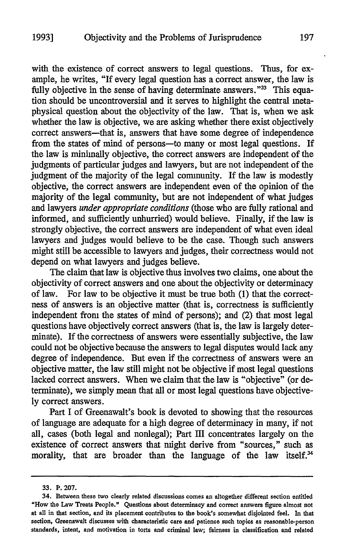with the existence of correct answers to legal questions. Thus, for example, he writes, "If every legal question has a correct answer, the law is fully objective in the sense of having determinate answers."<sup>33</sup> This equation should be uncontroversial and it serves to highlight the central metaphysical question about the objectivity of the law. That is, when we ask whether the law is objective, we are asking whether there exist objectively correct answers-that is, answers that have some degree of independence from the states of mind of persons-to many or most legal questions. If the law is minimally objective, the correct answers are independent of the judgments of particular judges and lawyers, but are not independent of the judgment of the majority of the legal community. If the law is modestly objective, the correct answers are independent even of the opinion of the majority of the legal community, but are not independent of what judges and lawyers *under appropriate conditions* (those who are fully rational and informed, and sufficiently unhurried) would believe. Finally, if the law is strongly objective, the correct answers are independent of what even ideal lawyers and judges would believe to be the case. Though such answers might still be accessible to lawyers and judges, their correctness would not depend on what lawyers and judges believe.

The claim that law is objective thus involves two claims, one about the objectivity of correct answers and one about the objectivity or determinacy of law. For law to be objective it must be true both (1) that the correctness of answers is an objective matter (that is, correctness is sufficiently independent from the states of mind of persons); and (2) that most legal questions have objectively correct answers (that is, the law is largely determinate). If the correctness of answers were essentially subjective, the law could not be objective because the answers to legal disputes would lack any degree of independence. But even if the correctness of answers were an objective matter, the law still might not be objective if most legal questions lacked correct answers. When we claim that the law is "objective" (or determinate), we simply mean that all or most legal questions have objectively correct answers.

Part I of Greenawalt's book is devoted to showing that the resources of language are adequate for a high degree of determinacy in many, if not all, cases (both legal and nonlegal); Part III concentrates largely on the existence of correct answers that might derive from "sources," such as morality, that are broader than the language of the law itself.<sup>34</sup>

**<sup>33.</sup>** P. **207.**

**<sup>34.</sup> Between these** two **clearly related** discussions **comes an** altogether different **section** entitled **"How** the **Law Treats People." Questions about determinacy and correct answers figure almost not at all in that section, and** its **placement contributes to** the **book's somewhat** disjointed **feel.** In **that** section, Greenawalt discusses with characteristic care and patience such topics as reasonable-person **standards, intent, and motivation** in torts **and criminal law;** fairness **in classification** and **related**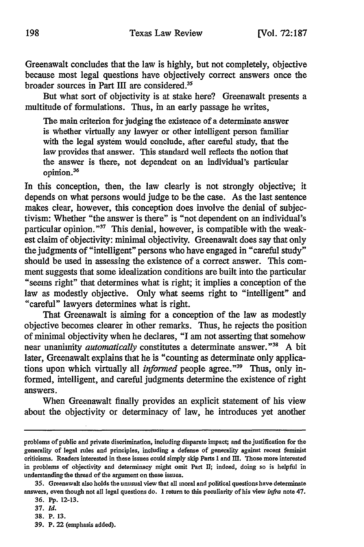Greenawalt concludes that the law is highly, but not completely, objective because most legal questions have objectively correct answers once the broader sources in Part III are considered.<sup>35</sup>

But what sort of objectivity is at stake here? Greenawalt presents a multitude of formulations. Thus, in an early passage he writes,

The main criterion for judging the existence of a determinate answer is whether virtually any lawyer or other intelligent person familiar with the legal system would conclude, after careful study, that the law provides that answer. This standard well reflects the notion that the answer is there, not dependent on an individual's particular opinion.36

In this conception, then, the law clearly is not strongly objective; it depends on what persons would judge to be the case. As the last sentence makes clear, however, this conception does involve the denial of subjectivism: Whether "the answer is there" is "not dependent on an individual's particular opinion." $37$  This denial, however, is compatible with the weakest claim of objectivity: minimal objectivity. Greenawalt does say that only the judgments of "intelligent" persons who have engaged in "careful study" should be used in assessing the existence of a correct answer. This comment suggests that some idealization conditions are built into the particular "seems right" that determines what is right; it implies a conception of the law as modestly objective. Only what seems right to "intelligent" and "careful" lawyers determines what is right.

That Greenawalt is aiming for a conception of the law as modestly objective becomes clearer in other remarks. Thus, he rejects the position of minimal objectivity when he declares, "I am not asserting that somehow near unanimity *automatically* constitutes a determinate answer."38 A bit later, Greenawalt explains that he is "counting as determinate only applications upon which virtually all *informed* people agree.<sup>"39</sup> Thus, only informed, intelligent, and careful judgments determine the existence of right answers.

When Greenawalt finally provides an explicit statement of his view about the objectivity or determinacy of law, he introduces yet another

problems of public and private discrimination, including disparate impact; and the justification for the generality of legal rules and principles, including a defense of generality against recent feminist criticisms. Readers interested in these issues could simply skip Parts I and **MII.** Those more interested in problems of objectivity and determinacy might omit Part **II;** indeed, doing so is helpful in understanding the thread of the argument on these issues.

**<sup>35.</sup>** Greenawalt also holds the unusual view that all moral and political questions have determinate answers, even though not all legal questions do. 1 return to this peculiarity of his view infra note 47.

**<sup>36.</sup> Pp. 12-13.**

**<sup>37.</sup>** *Id.*

**<sup>38.</sup>** P. **13.**

**<sup>39.</sup>** P. 22 (emphasis added).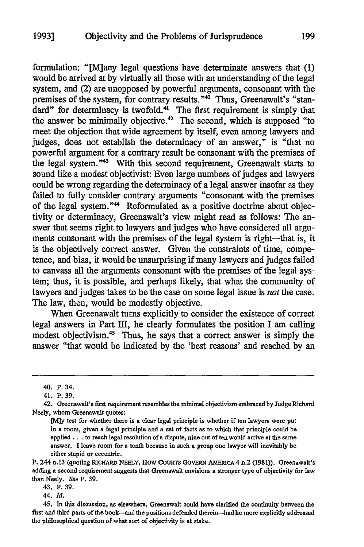formulation: "[M]any legal questions have determinate answers that (1) would be arrived at by virtually all those with an understanding of the legal system, and (2) are unopposed by powerful arguments, consonant with the premises of the system, for contrary results."<sup>40</sup> Thus, Greenawalt's "standard" for determinacy is twofold.<sup>41</sup> The first requirement is simply that the answer be minimally objective.<sup>42</sup> The second, which is supposed "to meet the objection that wide agreement by itself, even among lawyers and judges, does not establish the determinacy of an answer," is "that no powerful argument for a contrary result be consonant with the premises of the legal system."43 With this second requirement, Greenawalt starts to sound like a modest objectivist: Even large numbers of judges and lawyers could be wrong regarding the determinacy of a legal answer insofar as they failed to fully consider contrary arguments "consonant with the premises of the legal system."<sup>44</sup> Reformulated as a positive doctrine about objectivity or determinacy, Greenawalt's view might read as follows: The answer that seems right to lawyers and judges who have considered all arguments consonant with the premises of the legal system is right-that is, it is the objectively correct answer. Given the constraints of time, competence, and bias, it would be unsurprising if many lawyers and judges failed to canvass all the arguments consonant with the premises of the legal system; thus, it is possible, and perhaps likely, that what the community of lawyers and judges takes to be the case on some legal issue is *not* the case. The law, then, would be modestly objective.

When Greenawalt turns explicitly to consider the existence of correct legal answers in Part III, he clearly formulates the position I am calling modest objectivism.45 Thus, he says that a correct answer is simply the answer "that would be indicated by the 'best reasons' and reached by an

43. P. **39.**

44. *Id.*

**45.** In this discussion, as elsewhere, Greenawalt could have clarified the continuity between the first and third parts of the book-and the positions defended therein-had he more explicitly addressed the philosophical question of what sort of objectivity is at stake.

<sup>40.</sup> P. 34.

<sup>41.</sup> P. 39.

<sup>42.</sup> Greenawalt's first requirement resembles the minimal objectivism embraced **by** Judge Richard Neely, whom Greenawalt quotes:

<sup>[</sup>Mly test for whether there is a clear legal principle is whether **if** ten lawyers were put in a room, given a legal principle and a set of facts as to which that principle could be applied... to reach legal resolution of a dispute, nine out **often** would arrive at the same answer. I leave room for a tenth because in such a group one lawyer will inevitably be either stupid or eccentric.

P. 244 n.13 (quoting RICHARD **NEELY, How COURTS GoVERN AmERUCA** 4 n.2 **(1981)).** Greenawalt's adding a second requirement suggests that Greenawalt envisions a stronger type of objectivity for law than Neely. *See* **P. 39.**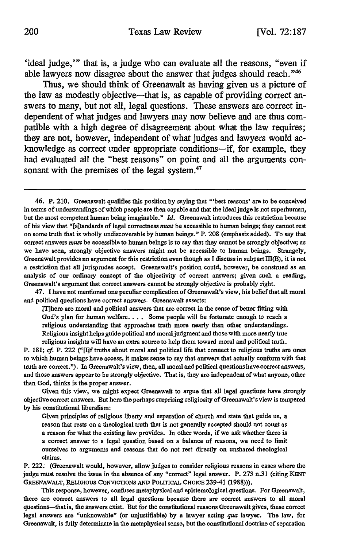'ideal judge,"' that is, a judge who can evaluate all the reasons, "even if able lawyers now disagree about the answer that judges should reach.<sup>"46</sup>

Thus, we should think of Greenawalt as having given us a picture of the law as modestly objective-that is, as capable of providing correct answers to many, but not all, legal questions. These answers are correct independent of what judges and lawyers may now believe and are thus compatible with a high degree of disagreement about what the law requires; they are not, however, independent of what judges and lawyers would acknowledge as correct under appropriate conditions-if, for example, they had evaluated all the "best reasons" on point and all the arguments consonant with the premises of the legal system. $47$ 

47. I have not mentioned one peculiar complication of Greenawalt's view, his belief that all moral and political questions have correct answers. Greenawalt asserts:

iThere are moral and political answers that are correct in the sense of better fitting with God's plan for human welfare. . . . Some people will be fortunate enough to reach a religious understanding that approaches truth more nearly than other understandings. Religious insight helps guide political and moral judgment and those with more nearly true religious insights will have an extra source to help them toward moral and political truth.

P. **181;** *cf.* P. 222 ("[If truths about moral and political life that connect to religious truths are ones to which human beings have access, it makes sense to say that answers that actually conform with that truth are correct."). In Greenawalt's view, then, all moral and political questions have correct answers, and those answers appear to be strongly objective. That is, they are independentof what anyone, other than God, thinks is the proper answer.

Given this view, we might expect Greenawalt to argue that all legal questions have strongly objective correct answers. But here the perhaps surprising religiosity of Greenawalt's view is tempered **by** his constitutional liberalism:

Given principles of religious liberty and separation of church and state that guide us, a reason that rests on a theological truth that is not generally accepted should not count as **a** reason for what the existing law provides. In other words, if we ask whether there is **a** correct answer to a legal question based on a balance of reasons, we need to limit ourselves to arguments and reasons that do not rest directly on unshared theological claims.

P. 222: (Greenawalt would, however, allow judges to consider religious reasons in cases where the judge must resolve the issue in the absence of any "correct" legal answer. P. **273** n.31 (citing **KENT** GREENAWALT, RELIGIOUS CONVICTIONS **AND POLITICAL CHOICE** 239-41 **(1988))).**

This response, however, confuses metaphysical and epistemological questions. For Greenawalt, there are correct answers **to** all legal questions because there are correct answers to all moral questions-that is, the answers exist. But for the constitutional reasons Greenawalt gives, these correct legal answers are "unknowable" (or unjustifiable) **by a** lawyer acting *qua* lawyer. The law, for Greenawalt, is fully determinate in the metaphysical sense, but the constitutional doctrine of separation

<sup>46.</sup> P. 210. Greenawalt qualifies this position by saying that "'best reasons' are to be conceived in terms of understandings of which people **are** then capable and that the ideal judge is not superhuman, but the most competent human being imaginable." *Id.* Greenawalt introduces this restriction because of his view that "[s]tandards of legal correctness *must* be accessible to human beings; they cannot rest on some truth that is wholly undiscoverableby human beings." P. 208 (emphasis added). To say that correct answers *must* be accessible to human beings is to say that they cannot be strongly objective; as we have seen, strongly objective answers might not be accessible to human beings. Strangely, Greenawalt provides no argument for this restriction even though as I discuss in subpart  $III(B)$ , it is not a restriction that all jurisprudes accept. Greenawalt's position could, however, be construed as an analysis of our ordinary concept of the objectivity of correct answers; given such a reading, Greenawalt's argument that correct answers cannot be strongly objective is probably right.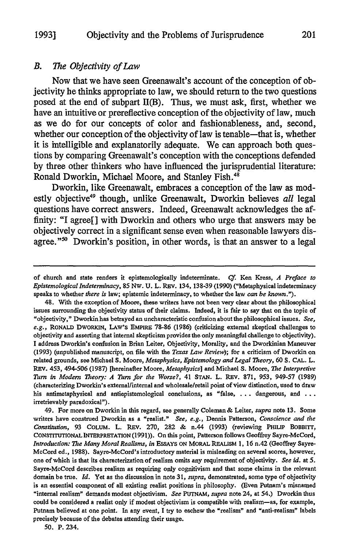#### *B. The Objectivity of Law*

Now that we have seen Greenawalt's account of the conception of objectivity he thinks appropriate to law, we should return to the two questions posed at the end of subpart II(B). Thus, we must ask, first, whether we have an intuitive or prereflective conception of the objectivity of law, much as we do for our concepts of color and fashionableness, and, second, whether our conception of the objectivity of law is tenable-that is, whether it is intelligible and explanatorily adequate. We can approach both questions **by** comparing Greenawalt's conception with the conceptions defended **by** three other thinkers who have influenced the jurisprudential literature: Ronald Dworkin, Michael Moore, and Stanley **Fish."**

Dworkin, like Greenawalt, embraces a conception of the law as modestly objective<sup>49</sup> though, unlike Greenawalt, Dworkin believes all legal questions have correct answers. Indeed, Greenawalt acknowledges the affinity: "I agree[] with Dworkin and others who urge that answers may be objectively correct in a significant sense even when reasonable lawyers disagree."<sup>50</sup> Dworkin's position, in other words, is that an answer to a legal

49. For more on Dworkin in this regard, see generally Coleman & Leiter, *supra* note 13. Some writers have construed Dworkin as a "realist." *See, e.g.,* Dennis Patterson, *Conscience and the Constitution,* 93 COLUM. L. REv. 270, 282 & n.44 (1993) (reviewing PHILIP BOBBrrr, CONSTITUTIONALINTEPRETATION (1991)). On this point, Patterson follows Geoffrey Sayre-McCord, *Introduction:* 7he *Many Moral Realisms, in* ESSAYS **ON** MORAL **REALISM** 1, 16 n.42 (Geoffrey Sayre-McCord ed., 1988). Sayre-McCord's introductory material is misleading on several scores, however, one of which is that its characterization of realism omits any requirement of objectivity. *See id.* at *5.* Sayre-McCord describes realism as requiring only cognitivism and that some claims in the relevant domain be true. *Id.* Yet as the discussion in note 31, *supra,* demonstrated, some type of objectivity is an essential component of all existing realist positions in philosophy. (Even Putnam's misnamed "internal realism" demands modest objectivism. *See PUTNAM, supra* note 24, at 54.) Dworkin thus could be considered a realist only if modest objectivism is compatible with realism-as, for example, Putnam believed at one point. In any event, I try to eschew the "realism" and "anti-realism" labels precisely because of the debates attending their usage.

*50.* P. 234.

of church and state renders it epistemologically indeterminate. C. Ken Kress, *A Preface to Epistemological Indeterminacy,* 85 Nw. U. L. REv. 134, 138-39 (1990) ("Metaphysical indeterminacy speaks to whether *there is* law; epistemic indeterminacy, to whether the law *can be known.").*

<sup>48.</sup> With the exception of Moore, these writers have not been very clear about the philosophical issues surrounding the objectivity status of their claims. Indeed, it is fair to say that on the topic of "objectivity," Dworkin has betrayed an uncharacteristic confusion about the philosophical issues. *See,* e.g., RONALD DWORKIN, LAW'S EMPIRE 78-86 (1986) (criticizing external skeptical challenges to objectivity and asserting that internal skepticism provides the only meaningful challenge to objectivity). I address Dworkin's confusion in Brian Leiter, Objectivity, Morality, and the Dworkinian Maneuver (1993) (unpublished manuscript, on file with the *Texas Law Review);* for a criticism of Dworkin on related grounds, see Michael **S.** Moore, *Metaphysics, Epistemology and Legal Theory, 60* S. CAL. L. REV. 453, 494-506 (1987) [hereinafter Moore, *Metaphysics]* and Michael S. Moore, *The Interpretive* Turn *in Modern Theory: A Turn for the Worse?,* <sup>41</sup>**STAN.** L. REV. 871, 953, 949-57 (1989) (characterizing Dworkin's externallinternal and wholesale/retail point of view distinction, used to draw his antimetaphysical and antiepistemological conclusions, as "false, ... dangerous, and **...** irretrievably paradoxical").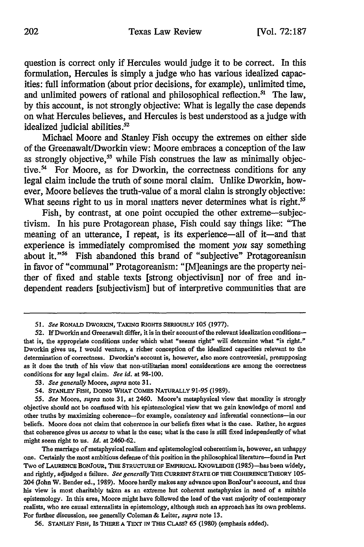question is correct only if Hercules would judge it to be correct. In this formulation, Hercules is simply a judge who has various idealized capacities: full information (about prior decisions, for example), unlimited time, and unlimited powers of rational and philosophical reflection.<sup>51</sup> The law, **by** this account, is not strongly objective: What is legally the case depends on what Hercules believes, and Hercules is best understood as a judge with idealized judicial abilities. $52$ 

Michael Moore and Stanley Fish occupy the extremes on either side of the Greenawalt/Dworkin view: Moore embraces a conception of the law as strongly objective,<sup>53</sup> while Fish construes the law as minimally objective.<sup>54</sup> For Moore, as for Dworkin, the correctness conditions for any legal claim include the truth of some moral claim. Unlike Dworkin, however, Moore believes the truth-value of a moral claim is strongly objective: What seems right to us in moral matters never determines what is right.<sup>55</sup>

Fish, by contrast, at one point occupied the other extreme-subjectivism. In his pure Protagorean phase, Fish could say things like: "The meaning of an utterance, I repeat, is its experience-all of it-and that experience is immediately compromised the moment *you* say something about it."<sup>56</sup> Fish abandoned this brand of "subjective" Protagoreanism in favor of "communal" Protagoreanism: "jM]eanings are the property neither of fixed and stable texts [strong objectivism] nor of free and independent readers [subjectivism] but of interpretive communities that are

The marriage of metaphysical realism and epistemological coherentism is, however, an unhappy one. Certainly the most ambitious defense of this position in the philosophical literature-found in Part Two of LAURENCE BONJOUR, THE STRUCTURE OF EMPIRICAL KNOWLEDGE (1985)-has been widely, and rightly, adjudged a failure. *See generally* THE **CURRENT STATE OF** THE COHERENCETHEORY **105-** 204 (John W. Bender ed., **1989).** Moore hardly makes any advance upon BonJour's account, and thus his view is most charitably taken as an extreme but coherent metaphysics in need of a suitable epistemology. In this area, Moore might have followed the lead of the vast majority of contemporary realists, who are causal externalists in epistemology, although such an approach has its own problems. For further discussion, see generally Coleman **&** Leiter, *supra* note **13.**

**56. STANLEY FISH, IS** THERE **A** TEXT **IN** THIS CLASS? **65 (1980)** (emphasis added).

*<sup>51.</sup> See* RONALD DWoRKIN, TAKING RIGHTS **SERIOUSLY** 105 (1977).

**<sup>52.</sup> If** Dworkin and Greenawalt differ, it is in their account of the relevant idealization conditionsthat is, the appropriate conditions under which what "seems right" will determine what "is right." Dworkin gives us, **I** would venture, a richer conception of the idealized capacities relevant to the determination of correctness. Dworkin's account is, however, also more controversial, presupposing as it does the truth of his view that non-utilitarian moral considerations are among the correctness conditions for any legal claim. *See id.* at **98-100.**

*<sup>53.</sup> See generally* Moore, *supra* note **31.**

<sup>54.</sup> **STANLEY** FISH, **DOING WHAT** COMES **NATURALLY** 91-95 (1989).

*<sup>55.</sup> See* Moore, *supra* note **31,** at 2460. Moore's metaphysical view that morality is strongly objective should not be confused with his epistemological view that we gain knowledge of moral and other truths by maximizing coherence-for example, consistency and inferential connections-in our beliefs. Moore does not claim that coherence in our beliefs fixes what is the case. Rather, he argues that coherencegives us *access* to what is the case; what is the case is still fixed independently of what might seem right to us. *Id.* at 2460-62.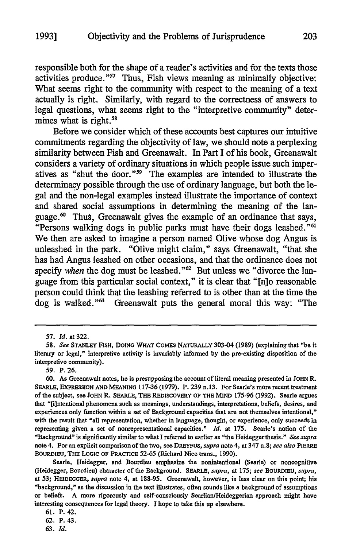responsible both for the shape of a reader's activities and for the texts those activities produce."<sup>57</sup> Thus, Fish views meaning as minimally objective: What seems right to the community with respect to the meaning of a text actually is right. Similarly, with regard to the correctness of answers to legal questions, what seems right to the "interpretive community" determines what is right.<sup>5t</sup>

Before we consider which of these accounts best captures our intuitive commitments regarding the objectivity of law, we should note a perplexing similarity between Fish and Greenawalt. In Part I of his book, Greenawalt considers a variety of ordinary situations in which people issue such imperatives as "shut the door."<sup>59</sup> The examples are intended to illustrate the determinacy possible through the use of ordinary language, but both the legal and the non-legal examples instead illustrate the importance of context and shared social assumptions in determining the meaning of the language.<sup>60</sup> Thus, Greenawalt gives the example of an ordinance that says, "Persons walking dogs in public parks must have their dogs leashed."<sup>61</sup> We then are asked to imagine a person named Olive whose dog Angus is unleashed in the park. "Olive might claim," says Greenawalt, "that she has had Angus leashed on other occasions, and that the ordinance does not specify when the dog must be leashed."<sup>62</sup> But unless we "divorce the language from this particular social context," it is clear that "[n]o reasonable person could think that the leashing referred to is other than at the time the dog is walked." $63$  Greenawalt puts the general moral this way: "The

Searle, Heidegger, and Bourdieu emphasize the nonintentional (Searle) or noncognitive (Heidegger, Bourdieu) character of the Background. **SEARLE,** *supra,* at 175; *see* **BOURDIEU,** *supra,* at **53; HEIDEGGER,** *supra* note 4, at 188-95. Greenawalt, however, is less clear on this point; his "background," as the discussion in the text illustrates, often sounds like a background of assumptions or beliefs. A more rigorously and self-consciously SearlianlHeideggerian approach might have interesting consequences for legal theory. **I** hope **to** take this up elsewhere.

*63. Id.*

**<sup>57.</sup>** *Id.* at 322.

**<sup>58.</sup>** *See* **STANLEY FISH, DOING** WHAT COMES NATURALLY **303-04 (1989)** (explaining that **"be** it literary or legal," interpretive activity is invariably informed **by** the pre-existing disposition of the interpretive community).

**<sup>59.</sup>** P. **26.**

**<sup>60.</sup>** As Greenawalt notes, he is presupposing the account of literal meaning presented in **JOHN** R. **SEARLE, EXPRESSION AND MEANING 117-36 (1979). P. 239 n.13. For** Searle's more recent treatment of the subject, see **JOHN** R. SEARLE, THE REDISCOVERY OF THE **MIND** 175-96 **(1992).** Searle argues that "[i]ntentional phenomena such as meanings, understandings, interpretations, beliefs, desires, and experiences only function within a set of Background capacities that are not themselves intentional," with the result that "all representation, whether in language, thought, or experience, only succeeds in representing given a set of nonrepresentational capacities." *Id.* at 175. Searle's notion of the "Background" is significantly similar to what I referred to earlier as "the Heidegger thesis." *See supra* note 4. For an explicit comparison of the two, see DREYFUS, *supra* note 4, at 347 n.8; *see also* PIERRE BOuRDiEu, THE LOGIC OF PRACTICE **52-65** (Richard Nice trans., 1990).

**<sup>61.</sup>** P. 42.

**<sup>62.</sup>** P. **43.**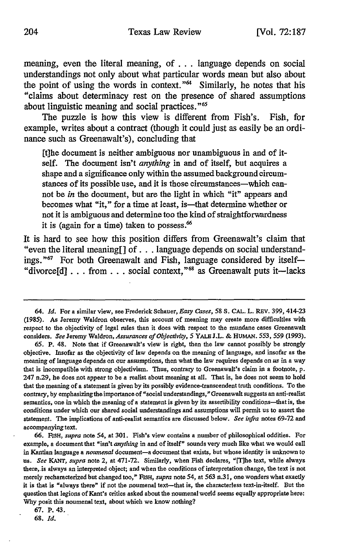meaning, even the literal meaning, of **...** language depends on social understandings not only about what particular words mean but also about the point of using the words in context." $64$  Similarly, he notes that his "claims about determinacy rest on the presence of shared assumptions about linguistic meaning and social practices."<sup>65</sup>

The puzzle is how this view is different from Fish's. Fish, for example, writes about a contract (though it could just as easily be an ordinance such as Greenawalt's), concluding that

[t]he document is neither ambiguous nor unambiguous in and of itself. The document isn't *anything* in and of itself, but acquires a shape and a significance only within the assumed background circumstances of its possible use, and it is those circumstances—which cannot be *in* the document, but are the light in which "it" appears and becomes what "it," for a time at least, is—that determine whether or not it is ambiguous and determine too the kind of straightforwardness it is (again for a time) taken to possess.

It is hard to see how this position differs from Greenawalt's claim that "even the literal meaning[] of **...** language depends on social understandings."<sup>67</sup> For both Greenawalt and Fish, language considered by itself-"divorce<sup>[d]</sup> . . . from . . . social context,"<sup>68</sup> as Greenawalt puts it—lacks

**68.** *Id.*

<sup>64.</sup> *Id.* For a similar view, see Frederick Schauer, *Easy Cases, 58* **S. CAL.** L. **REV. 399,** 414-23 (1985). As Jeremy Waldron observes, this account of meaning may create more difficulties with respect to the objectivity of legal rules than it does with respect to the mundane cases Greenawalt considers. *See* Jeremy Waldron, *Assurances of Objectivity, 5* YALE J.L. & HUMAN. 553, 559 (1993).

<sup>65.</sup> P. 48. Note that if Greenawalt's view is right, then the law cannot possibly be strongly objective. Insofar as the objectivity of law depends on the meaning of language, and insofar as the meaning of language depends on our assumptions, then what the law requires depends on *us* in a way that is incompatible with strong objectivism. Thus, contrary to Greenawalt's claim in a footnote, p. 247 n.29, he does not appear to be a realist about meaning at all. That is, he does not seem to hold that the meaning of a statement is given by its possibly evidence-transcendent truth conditions. To the contrary, **by** emphasizing the importance of "social understandings," Greenawalt suggests an anti-realist semantics, one in which the meaning of a statement is given **by** its assertibility conditions-that is, the conditions under which our shared social understandings and assumptions will permit us to assert the statement. The implications of anti-realist semantics are discussed below. *See infra* notes **69-72** and accompanying text.

**<sup>66.</sup> FISH,** *supra* note 54, at **301.** Fish's view contains a number of philosophical oddities. For example, a document that "isn't *anything* in and of itself" sounds very much like what we would call in Kantian language a *noumenal* document-a document that exists, but whose identity is unknown to us. *See* **KANT,** *supra* note 2, at **471-72.** Similarly, when Fish declares, "[Tihe text, while always there, is always an interpreted object; and when the conditions of interpretation change, the text is not merely recharacterized but changed too," FISH, *supra* note 54, at **563** n.3 **1,** one wonders what exactly it is that is "always there" if not the noumenal text--that is, the characterless text-in-itself. But the question that legions of Kant's critics asked about the noumenal world seems equally appropriate here: **Why** posit this noumenal text, about which we know nothing?

<sup>67.</sup> P. 43.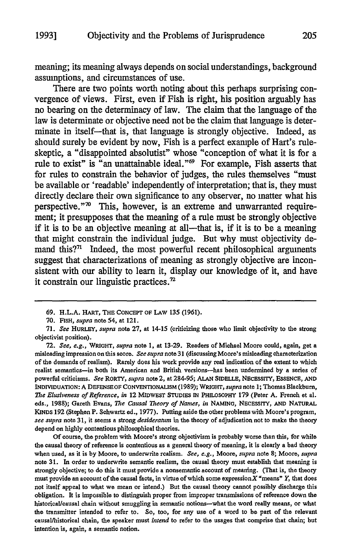meaning; its meaning always depends on social understandings, background assumptions, and circumstances of use.

There are two points worth noting about this perhaps surprising convergence of views. First, even if Fish is right, his position arguably has no bearing on the determinacy of law. The claim that the language of the law is determinate or objective need not be the claim that language is determinate in itself-that is, that language is strongly objective. Indeed, as should surely be evident by now, Fish is a perfect example of Hart's ruleskeptic, a "disappointed absolutist" whose "conception of what it is for a rule to exist" is "an unattainable ideal."69 For example, Fish asserts that for rules to constrain the behavior of judges, the rules themselves "must be available or 'readable' independently of interpretation; that is, they must directly declare their own significance to any observer, no matter what his perspective." $\infty$  This, however, is an extreme and unwarranted requirement; it presupposes that the meaning of a rule must be strongly objective if it is to be an objective meaning at all-that is, if it is to be a meaning that might constrain the individual judge. But why must objectivity demand this?<sup>71</sup> Indeed, the most powerful recent philosophical arguments suggest that characterizations of meaning as strongly objective are inconsistent with our ability to learn it, display our knowledge of it, and have it constrain our linguistic practices.'

72. *See, e.g., WRIGHT, supra* note 1, at 13-29. Readers of Michael Moore could, again, get a misleading impression on this score. *See supra* note 31 (discussing Moore's misleading characterization of the demands of realism). Rarely does his work provide any real indication of the extent to which realist semantics-in both its American and British versions-has been undermined **by** a series of powerful criticisms. *See* RORTY, *supra* note 2, at 284-95; ALAN **SIDri.LE,** NEcEssr', ESSENCE, **AND INDIVIDUATION: A** DEFENSEOF CONVENTIONALISM (1989); WRIGHT, *supra* note 1; Thomas Blackburn, *The Elusiveness of Reference, in* 12 **MIDwEST STUDIES IN** PHILOSOPHY 179 (Peter A. French et al. eds., 1988); Gareth Evans, *The Causal Theory of Names, in* **NAMING,** NECESSITY, **AND NATURAL KINDS 192** (Stephen P. Schwartz ed., 1977). Putting aside the other problems with Moore's program, *see supra* note 31, it seems a strong *desideratum* in the theory of adjudication not to make the theory depend on highly contentious philosophical theories.

Of course, the problem with Moore's strong objectivism is probably worse than this, for while the causal theory of reference is contentious as a general theory of meaning, it is clearly a bad theory when used, as it is by Moore, to underwrite realism. *See, e.g.,* Moore, *supra* note **8;** Moore, *supra* note **31.** In order to underwrite semantic realism, the causal theory must establish that meaning is strongly objective; to do this it must provide a nonsemantic account of meaning. (That is, the theory must provide an account of the causal facts, in virtue of which some expressionX "means" *Y,* that does not itself appeal to what we mean or intend.) But the causal theory cannot possibly discharge this obligation. It is impossible to distinguish proper from improper transmissions of reference down the historical/causal chain without smuggling in semantic notions-what the word really means, or what the transmitter intended to refer to. So, too, for any use of a word to be part of the relevant causal/historical chain, the speaker must *intend* to refer to the usages that comprise that chain; but intention is, again, a semantic notion.

<sup>69.</sup> H.L.A. HART, THE CONCEPT OF LAW 135 (1961).

<sup>70.</sup> **FISH,** *supra* note 54, at 121.

<sup>71.</sup> *See* HURLEY, *supra* note 27, at 14-15 (criticizing those who limit objectivity to the strong objectivist position).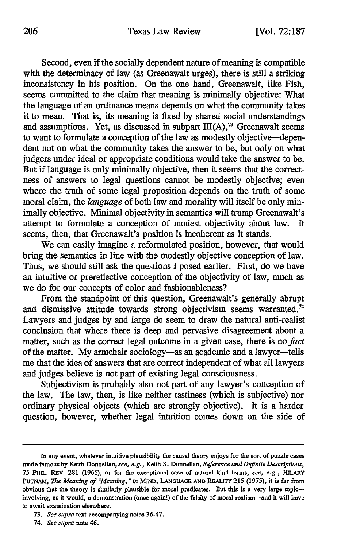Second, even if the socially dependent nature of meaning is compatible with the determinacy of law (as Greenawalt urges), there is still a striking inconsistency in his position. On the one hand, Greenawalt, like Fish, seems committed to the claim that meaning is minimally objective: What the language of an ordinance means depends on what the community takes it to mean. That is, its meaning is fixed by shared social understandings and assumptions. Yet, as discussed in subpart  $III(A)$ ,<sup>73</sup> Greenawalt seems to want to formulate a conception of the law as modestly objective-dependent not on what the community takes the answer to be, but only on what judgers under ideal or appropriate conditions would take the answer to be. But if language is only minimally objective, then it seems that the correctness of answers to legal questions cannot be modestly objective; even where the truth of some legal proposition depends on the truth of some moral claim, the *language* of both law and morality will itself be only minimally objective. Minimal objectivity in semantics will trump Greenawalt's attempt to formulate a conception of modest objectivity about law. It seems, then, that Greenawalt's position is incoherent as it stands.

We can easily imagine a reformulated position, however, that would bring the semantics in line with the modestly objective conception of law. Thus, we should still ask the questions I posed earlier. First, do we have an intuitive or prereflective conception of the objectivity of law, much as we do for our concepts of color and fashionableness?

From the standpoint of this question, Greenawalt's generally abrupt and dismissive attitude towards strong objectivism seems warranted.<sup>74</sup> Lawyers and judges by and large do seem to draw the natural anti-realist conclusion that where there is deep and pervasive disagreement about a matter, such as the correct legal outcome in a given case, there is no *fact* of the matter. My armchair sociology-as an academic and a lawyer--tells me that the idea of answers that are correct independent of what all lawyers and judges believe is not part of existing legal consciousness.

Subjectivism is probably also not part of any lawyer's conception of the law. The law, then, is like neither tastiness (which is subjective) nor ordinary physical objects (which are strongly objective). It is a harder question, however, whether legal intuition comes down on the side of

In any event, whatever intuitive plausibility the causal theory enjoys for the sort of puzzle cases made famous **by** Keith Donnellan, *see, e.g.,* Keith **S.** Donnellan, *Reference and Definite Descriptions,* **75 PHIL.** REv. **281** (1966), or for the exceptional case of natural kind terms, *see, e.g.,* **HILAPY PUTNAm,** *The Meaning of "Meaning, "in* **MIND, LANGUAGE AND REALITY** 215 (1975), it is far from obvious that the theory is similarly plausible for moral predicates. But this is a very large topicinvolving, as it would, a demonstration (once again!) of the falsity of moral realism-and it will have to await examination elsewhere.

**<sup>73.</sup>** *See supra* text accompanying notes **36-47.**

<sup>74.</sup> *See supra* note 46.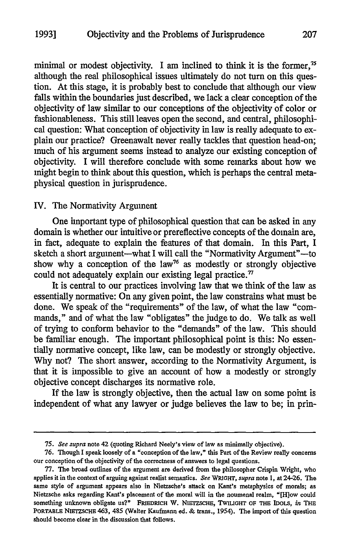minimal or modest objectivity. I am inclined to think it is the former,<sup>75</sup> although the real philosophical issues ultimately do not turn on this question. At this stage, it is probably best to conclude that although our view falls within the boundaries just described, we lack a clear conception of the objectivity of law similar to our conceptions of the objectivity of color or fashionableness. This still leaves open the second, and central, philosophical question: What conception of objectivity in law is really adequate to explain our practice? Greenawalt never really tackles that question head-on; much of his argument seems instead to analyze our existing conception of objectivity. I will therefore conclude with some remarks about how we might begin to think about this question, which is perhaps the central metaphysical question in jurisprudence.

#### IV. The Normativity Argument

One important type of philosophical question that can be asked in any domain is whether our intuitive or prereflective concepts of the domain are, in fact, adequate to explain the features of that domain. In this Part, I sketch a short argument-what I will call the "Normativity Argument"-to show why a conception of the law<sup>76</sup> as modestly or strongly objective could not adequately explain our existing legal practice. $\eta$ 

It is central to our practices involving law that we think of the law as essentially normative: On any given point, the law constrains what must be done. We speak of the "requirements" of the law, of what the law "commands," and of what the law "obligates" the judge to do. We talk as well of trying to conform behavior to the "demands" of the law. This should be familiar enough. The important philosophical point is this: No essentially normative concept, like law, can be modestly or strongly objective. Why not? The short answer, according to the Normativity Argument, is that it is impossible to give an account of how a modestly or strongly objective concept discharges its normative role.

If the law is strongly objective, then the actual law on some point is independent of what any lawyer or judge believes the law to be; in prin-

*<sup>75.</sup> See supra* note 42 (quoting Richard Neely's view of law as minimally objective).

**<sup>76.</sup>** Though **I** speak loosely of a "conception of the law," this Part of the Review really concerns our conception of the objectivity of the correctness of answers to legal questions.

<sup>77.</sup> The broad outlines of the argument are derived from the philosopher Crispin Wright, who applies it in the context of arguing against realist semantics. *See* **WRIGHT,** *supra* note 1, at 24-26. The same style of argument appears also in Nietzsche's attack on Kant's metaphysics of morals; as Nietzsche asks regarding Kant's placement of the moral will in the noumenal realm, "[H]ow could something unknown obligate us?" FRIEDRICH W. **NIEZSCHE, TWILIGHT OF THE IDOLS,** *in* THE PORTABLE NIETZSCHE 463, 485 (Walter Kaufmann ed. **&** trans., 1954). The import of this question should become clear in the discussion that follows.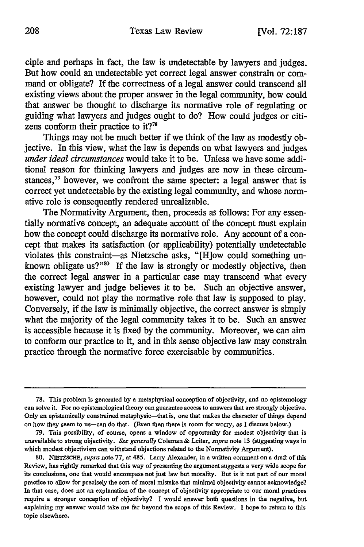ciple and perhaps in fact, the law is undetectable by lawyers and judges. But how could an undetectable yet correct legal answer constrain or command or obligate? If the correctness of a legal answer could transcend all existing views about the proper answer in the legal community, how could that answer be thought to discharge its normative role of regulating or guiding what lawyers and judges ought to do? How could judges or citizens conform their practice to it?<sup>78</sup>

Things may not be much better if we think of the law as modestly objective. In this view, what the law is depends on what lawyers and judges *under ideal circumstances* would take it to be. Unless we have some additional reason for thinking lawyers and judges are now in these circumstances,<sup>79</sup> however, we confront the same specter: a legal answer that is correct yet undetectable by the existing legal community, and whose normative role is consequently rendered unrealizable.

The Normativity Argument, then, proceeds as follows: For any essentially normative concept, an adequate account of the concept must explain how the concept could discharge its normative role. Any account of a concept that makes its satisfaction (or applicability) potentially undetectable violates this constraint-as Nietzsche asks, "[H]ow could something unknown obligate us?"<sup>80</sup> If the law is strongly or modestly objective, then the correct legal answer in a particular case may transcend what every existing lawyer and judge believes it to be. Such an objective answer, however, could not play the normative role that law is supposed to play. Conversely, if the law is minimally objective, the correct answer is simply what the majority of the legal community takes it to be. Such an answer is accessible because it is fixed by the community. Moreover, we can aim to conform our practice to it, and in this sense objective law may constrain practice through the normative force exercisable by communities.

<sup>78.</sup> This problem is generated by a metaphysical conception of objectivity, and no epistemology can solve it. For no epistemological theory can guarantee access to answers that are strongly objective. Only an epistemically constrained metaphysic-that is, one that makes the character of things depend on how they seem to us-can do that. (Even then there is room for worry, as **I** discuss below.)

**<sup>79.</sup>** This possibility, of course, opens a window of opportunity for modest objectivity that is unavailableto strong objectivity. *See generally* Coleman& Leiter, *supra* note **13** (suggestingways in which modest objectivism can withstand objections related to the Normativity Argument).

**<sup>80.</sup> NIETZSCHE,** *supra* note **77,** at 485. Larry Alexander, in a written comment on a draft of this Review, has rightly remarked that this way of presenting the argument suggests a very wide scope for **its** conclusions, one that would encompass not just law but morality. But is it not part of our moral practice to allow for precisely the sort of moral mistake that minimal objectivity cannot acknowledge? In that case, does not an explanation of the concept of objectivity appropriate to our moral practices require a stronger conception of objectivity? **I** would answer both questions in the negative, but explaining my answer would take me far beyond the scope of this Review. **I** hope to return to this topic elsewhere.